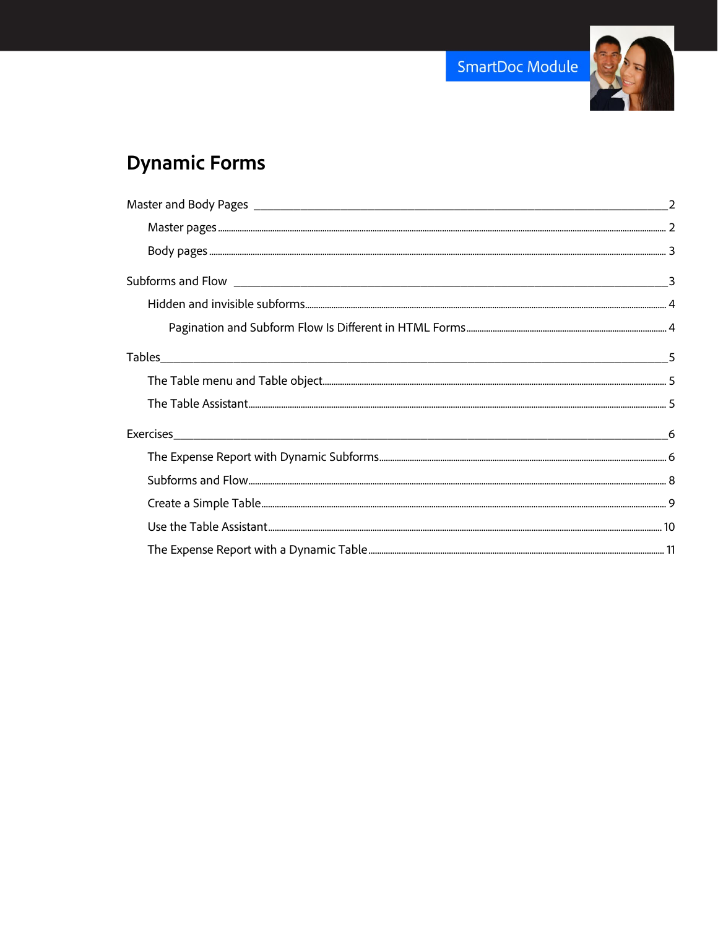

# **Dynamic Forms**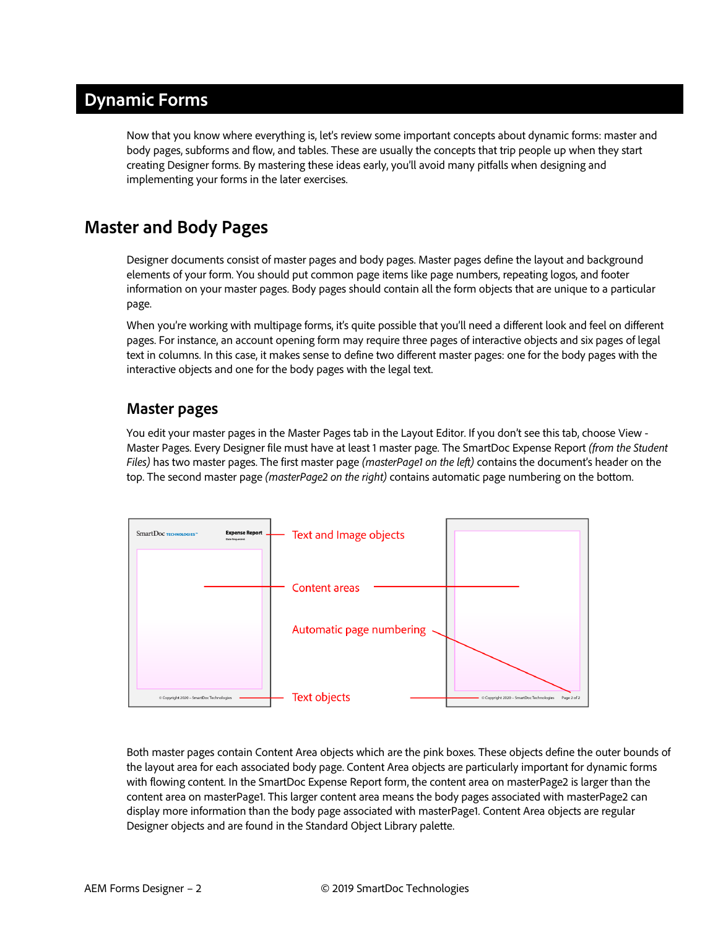# **Dynamic Forms**

Now that you know where everything is, let's review some important concepts about dynamic forms: master and body pages, subforms and flow, and tables. These are usually the concepts that trip people up when they start creating Designer forms. By mastering these ideas early, you'll avoid many pitfalls when designing and implementing your forms in the later exercises.

# <span id="page-1-0"></span>**Master and Body Pages**

Designer documents consist of master pages and body pages. Master pages define the layout and background elements of your form. You should put common page items like page numbers, repeating logos, and footer information on your master pages. Body pages should contain all the form objects that are unique to a particular page.

When you're working with multipage forms, it's quite possible that you'll need a different look and feel on different pages. For instance, an account opening form may require three pages of interactive objects and six pages of legal text in columns. In this case, it makes sense to define two different master pages: one for the body pages with the interactive objects and one for the body pages with the legal text.

#### <span id="page-1-1"></span>**Master pages**

You edit your master pages in the Master Pages tab in the Layout Editor. If you don't see this tab, choose View - Master Pages. Every Designer file must have at least 1 master page. The SmartDoc Expense Report *(from the Student Files)* has two master pages. The first master page *(masterPage1 on the left)* contains the document's header on the top. The second master page *(masterPage2 on the right)* contains automatic page numbering on the bottom.



Both master pages contain Content Area objects which are the pink boxes. These objects define the outer bounds of the layout area for each associated body page. Content Area objects are particularly important for dynamic forms with flowing content. In the SmartDoc Expense Report form, the content area on masterPage2 is larger than the content area on masterPage1. This larger content area means the body pages associated with masterPage2 can display more information than the body page associated with masterPage1. Content Area objects are regular Designer objects and are found in the Standard Object Library palette.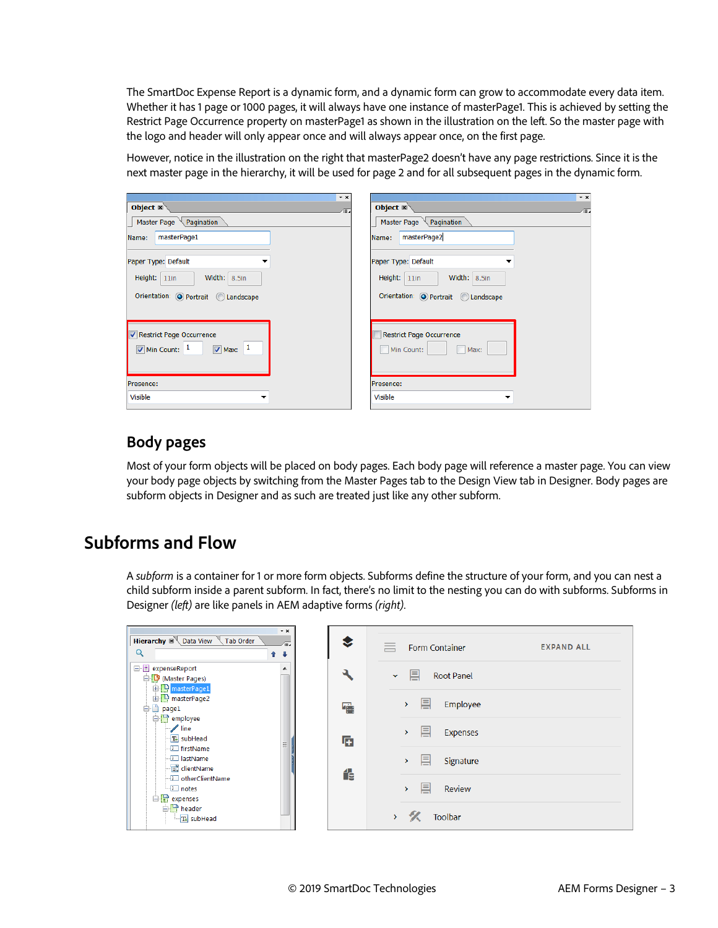The SmartDoc Expense Report is a dynamic form, and a dynamic form can grow to accommodate every data item. Whether it has 1 page or 1000 pages, it will always have one instance of masterPage1. This is achieved by setting the Restrict Page Occurrence property on masterPage1 as shown in the illustration on the left. So the master page with the logo and header will only appear once and will always appear once, on the first page.

However, notice in the illustration on the right that masterPage2 doesn't have any page restrictions. Since it is the next master page in the hierarchy, it will be used for page 2 and for all subsequent pages in the dynamic form.

| $\mathbf{v} \times$                              | $\star$ x                           |
|--------------------------------------------------|-------------------------------------|
| Object $\mathbb{R}$<br>∕≔.                       | Object $\mathbb{Z}$<br>∕≡⊿          |
| Master Page $\setminus$ Pagination               | Master Page $\setminus$ Pagination  |
| masterPage1<br>Name:                             | masterPage2<br>Name:                |
| Paper Type: Default                              | Paper Type: Default                 |
| Width: $8.5$ in<br>Height: $11$ in               | Width: $8.5$ in<br>Height: $11$ in  |
| Orientation: O Portrait C Landscape              | Orientation: O Portrait C Landscape |
|                                                  |                                     |
| Restrict Page Occurrence                         | <b>Restrict Page Occurrence</b>     |
| $\sqrt{M}$ Max: $1$<br>$\sqrt{ }$ Min Count: $1$ | Min Count:<br>Max:                  |
|                                                  |                                     |
| Presence:                                        | Presence:                           |
| <b>Visible</b><br>▼                              | <b>Visible</b>                      |
|                                                  |                                     |

#### <span id="page-2-0"></span>**Body pages**

Most of your form objects will be placed on body pages. Each body page will reference a master page. You can view your body page objects by switching from the Master Pages tab to the Design View tab in Designer. Body pages are subform objects in Designer and as such are treated just like any other subform.

# <span id="page-2-1"></span>**Subforms and Flow**

A *subform* is a container for 1 or more form objects. Subforms define the structure of your form, and you can nest a child subform inside a parent subform. In fact, there's no limit to the nesting you can do with subforms. Subforms in Designer *(left)* are like panels in AEM adaptive forms *(right)*.

| $\cdot$ $\times$<br><b>Hierarchy</b> $\mathbb{R}^N$ Data View<br>Tab Order<br>Æ.<br>Q<br>$\ddot{\phantom{1}}$<br>↑ |   | $=$<br><b>Form Container</b><br><b>EXPAND ALL</b> |
|--------------------------------------------------------------------------------------------------------------------|---|---------------------------------------------------|
| □ expenseReport<br>▲<br>白心 (Master Pages)<br><b>ED</b> masterPage1                                                 |   | 目<br><b>Root Panel</b><br>$\checkmark$            |
| <b>D</b> masterPage2<br><b>□</b> page1<br>□ employee                                                               | 噜 | 目<br>Employee<br>$\mathcal{P}$                    |
| $\mathscr{N}$ line<br>T+ subHead<br>゠<br><sup>--</sup> L∐ firstName                                                | 重 | 昌<br><b>Expenses</b><br>$\rightarrow$             |
| <b>I</b> lastName<br>- ist clientName<br><b>I</b> otherClientName                                                  | 化 | 昌<br>Signature<br>$\rightarrow$                   |
| $\Box$ notes<br>$\Box$ expenses<br><b>D</b> header                                                                 |   | 팈<br>Review<br>$\rightarrow$                      |
| $T+$ subHead                                                                                                       |   | <b>Toolbar</b><br>$\rightarrow$                   |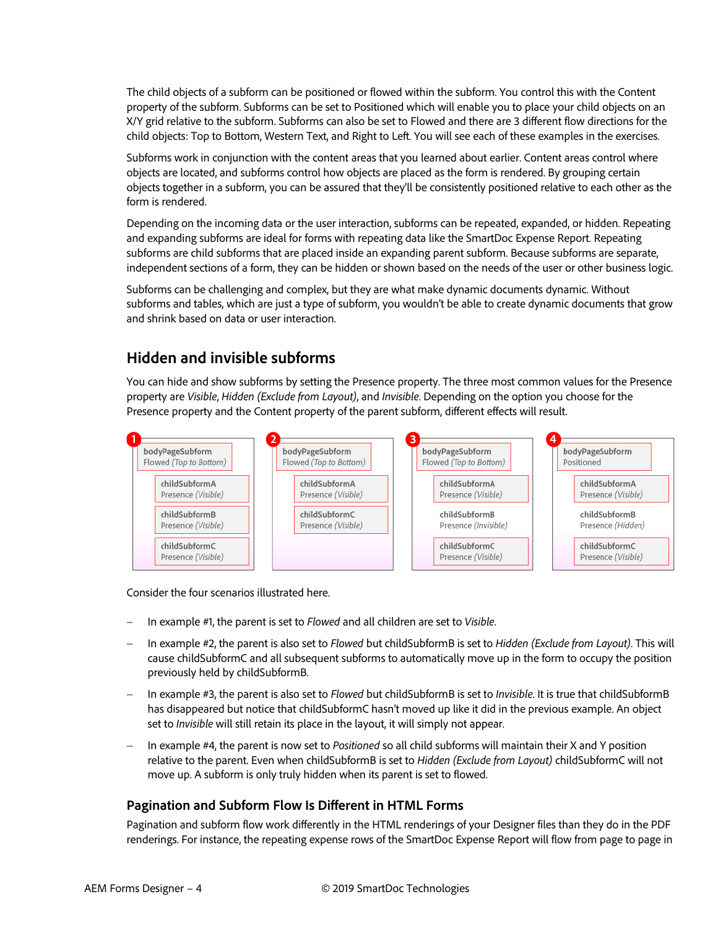The child objects of a subform can be positioned or flowed within the subform. You control this with the Content property of the subform. Subforms can be set to Positioned which will enable you to place your child objects on an X/Y grid relative to the subform. Subforms can also be set to Flowed and there are 3 different flow directions for the child objects: Top to Bottom, Western Text, and Right to Left. You will see each of these examples in the exercises.

Subforms work in conjunction with the content areas that you learned about earlier. Content areas control where objects are located, and subforms control how objects are placed as the form is rendered. By grouping certain objects together in a subform, you can be assured that they'll be consistently positioned relative to each other as the form is rendered.

Depending on the incoming data or the user interaction, subforms can be repeated, expanded, or hidden. Repeating and expanding subforms are ideal for forms with repeating data like the SmartDoc Expense Report. Repeating subforms are child subforms that are placed inside an expanding parent subform. Because subforms are separate, independent sections of a form, they can be hidden or shown based on the needs of the user or other business logic.

Subforms can be challenging and complex, but they are what make dynamic documents dynamic. Without subforms and tables, which are just a type of subform, you wouldn't be able to create dynamic documents that grow and shrink based on data or user interaction.

### <span id="page-3-0"></span>**Hidden and invisible subforms**

You can hide and show subforms by setting the Presence property. The three most common values for the Presence property are *Visible*, *Hidden (Exclude from Layout)*, and *Invisible*. Depending on the option you choose for the Presence property and the Content property of the parent subform, different effects will result.



Consider the four scenarios illustrated here.

- − In example #1, the parent is set to *Flowed* and all children are set to *Visible*.
- − In example #2, the parent is also set to *Flowed* but childSubformB is set to *Hidden (Exclude from Layout)*. This will cause childSubformC and all subsequent subforms to automatically move up in the form to occupy the position previously held by childSubformB.
- − In example #3, the parent is also set to *Flowed* but childSubformB is set to *Invisible*. It is true that childSubformB has disappeared but notice that childSubformC hasn't moved up like it did in the previous example. An object set to *Invisible* will still retain its place in the layout, it will simply not appear.
- − In example #4, the parent is now set to *Positioned* so all child subforms will maintain their X and Y position relative to the parent. Even when childSubformB is set to *Hidden (Exclude from Layout)* childSubformC will not move up. A subform is only truly hidden when its parent is set to flowed.

#### <span id="page-3-1"></span>**Pagination and Subform Flow Is Different in HTML Forms**

Pagination and subform flow work differently in the HTML renderings of your Designer files than they do in the PDF renderings. For instance, the repeating expense rows of the SmartDoc Expense Report will flow from page to page in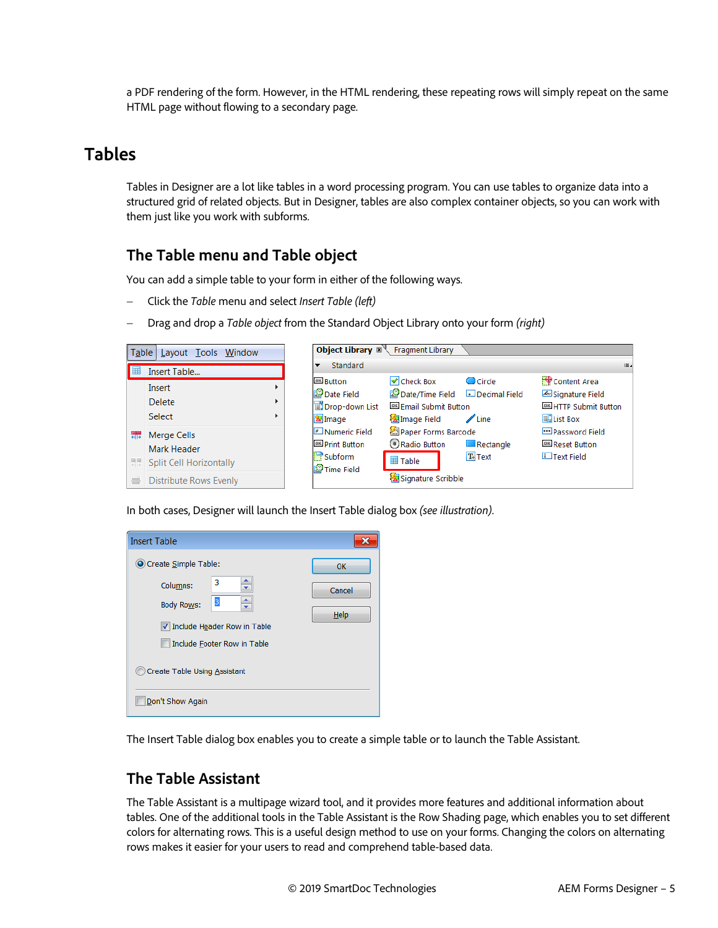a PDF rendering of the form. However, in the HTML rendering, these repeating rows will simply repeat on the same HTML page without flowing to a secondary page.

# <span id="page-4-0"></span>**Tables**

Tables in Designer are a lot like tables in a word processing program. You can use tables to organize data into a structured grid of related objects. But in Designer, tables are also complex container objects, so you can work with them just like you work with subforms.

# <span id="page-4-1"></span>**The Table menu and Table object**

You can add a simple table to your form in either of the following ways.

- − Click the *Table* menu and select *Insert Table (left)*
- − Drag and drop a *Table object* from the Standard Object Library onto your form *(right)*

| Table  | Layout Tools Window                                                                      |               |                                                                         | Object Library ⊠ Fragment Library                                                                          |                           |                                                                             |
|--------|------------------------------------------------------------------------------------------|---------------|-------------------------------------------------------------------------|------------------------------------------------------------------------------------------------------------|---------------------------|-----------------------------------------------------------------------------|
| 醒      | Insert Table                                                                             |               | Standard<br>▼                                                           |                                                                                                            |                           | ⊞⊿                                                                          |
|        | Insert<br><b>Delete</b><br>Select                                                        | r<br>Þ.<br>Þ. | <b>OK Button</b><br>Date Field<br>Drop-down List<br><b>X</b> Image      | <b>√</b> Check Box<br>Decimal Field Decimal Field<br><b>OK Email Submit Button</b><br><b>Z</b> Image Field | Circle<br>$\sqrt{2}$ Line | Content Area<br>Signature Field<br><b>OK HTTP Submit Button</b><br>List Box |
| 靐<br>를 | Merge Cells<br>Mark Header<br>黑 Split Cell Horizontally<br><b>Distribute Rows Evenly</b> |               | Mumeric Field<br><b>OK</b> Print Button<br>$\Box$ Subform<br>Time Field | <b>Apper Forms Barcode</b><br>Radio Button<br>国 Table<br>Signature Scribble                                | Rectangle<br>$T+$ Text    | <b>ED</b> Password Field<br><sup>OK</sup> Reset Button<br>I Text Field      |

In both cases, Designer will launch the Insert Table dialog box *(see illustration)*.

| <b>Insert Table</b>           |        |  |  |  |
|-------------------------------|--------|--|--|--|
| O Create Simple Table:        | OK     |  |  |  |
| 3<br>Columns:                 | Cancel |  |  |  |
| 3<br><b>Body Rows:</b>        | Help   |  |  |  |
| √ Include Header Row in Table |        |  |  |  |
| Include Footer Row in Table   |        |  |  |  |
| Create Table Using Assistant  |        |  |  |  |
| Don't Show Again              |        |  |  |  |

The Insert Table dialog box enables you to create a simple table or to launch the Table Assistant.

# <span id="page-4-2"></span>**The Table Assistant**

The Table Assistant is a multipage wizard tool, and it provides more features and additional information about tables. One of the additional tools in the Table Assistant is the Row Shading page, which enables you to set different colors for alternating rows. This is a useful design method to use on your forms. Changing the colors on alternating rows makes it easier for your users to read and comprehend table-based data.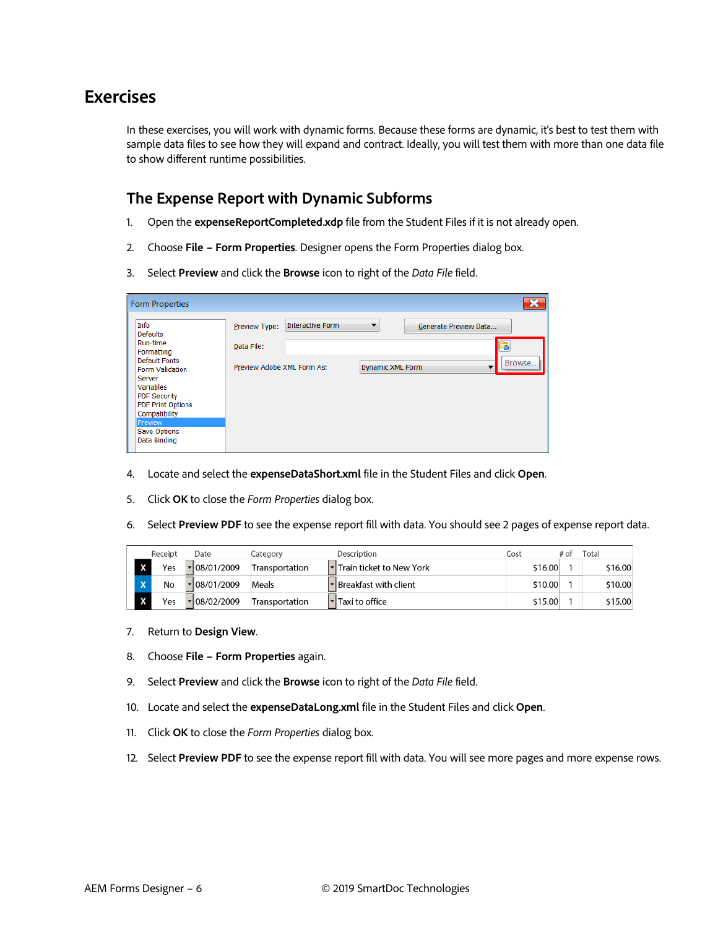# <span id="page-5-0"></span>**Exercises**

In these exercises, you will work with dynamic forms. Because these forms are dynamic, it's best to test them with sample data files to see how they will expand and contract. Ideally, you will test them with more than one data file to show different runtime possibilities.

#### <span id="page-5-1"></span>**The Expense Report with Dynamic Subforms**

- 1. Open the **expenseReportCompleted.xdp** file from the Student Files if it is not already open.
- 2. Choose **File Form Properties**. Designer opens the Form Properties dialog box.
- 3. Select **Preview** and click the **Browse** icon to right of the *Data File* field.

| <b>Form Properties</b>                                                                                                   |                                                           |                         |                              | $\mathbf{x}$                    |
|--------------------------------------------------------------------------------------------------------------------------|-----------------------------------------------------------|-------------------------|------------------------------|---------------------------------|
| Info<br><b>Defaults</b><br>Run-time<br>Formatting<br><b>Default Fonts</b><br><b>Form Validation</b><br>Server            | Preview Type:<br>Data File:<br>Preview Adobe XML Form As: | <b>Interactive Form</b> | ▼<br><b>Dynamic XML Form</b> | Generate Preview Data<br>Browse |
| Variables<br><b>PDF Security</b><br><b>PDF Print Options</b><br>Compatibility<br>Preview<br>Save Options<br>Data Binding |                                                           |                         |                              |                                 |

- 4. Locate and select the **expenseDataShort.xml** file in the Student Files and click **Open**.
- 5. Click **OK** to close the *Form Properties* dialog box.
- 6. Select **Preview PDF** to see the expense report fill with data. You should see 2 pages of expense report data.

|                         | Receipt | Date                 | Category       | Description                          | _ost    | Гоtal   |
|-------------------------|---------|----------------------|----------------|--------------------------------------|---------|---------|
|                         | Yes     | $\vert$ = 08/01/2009 | Transportation | <b>▼Train ticket to New York</b>     | \$16.00 | \$16.00 |
| $\overline{\mathbf{v}}$ | No      | · 08/01/2009         | Meals          | • Breakfast with client              | \$10.00 | \$10.00 |
|                         | Yes     | $\vert$ = 08/02/2009 | Transportation | $\lvert \cdot \rvert$ Taxi to office | \$15.00 | \$15.00 |

- 7. Return to **Design View**.
- 8. Choose **File Form Properties** again.
- 9. Select **Preview** and click the **Browse** icon to right of the *Data File* field.
- 10. Locate and select the **expenseDataLong.xml** file in the Student Files and click **Open**.
- 11. Click **OK** to close the *Form Properties* dialog box.
- 12. Select **Preview PDF** to see the expense report fill with data. You will see more pages and more expense rows.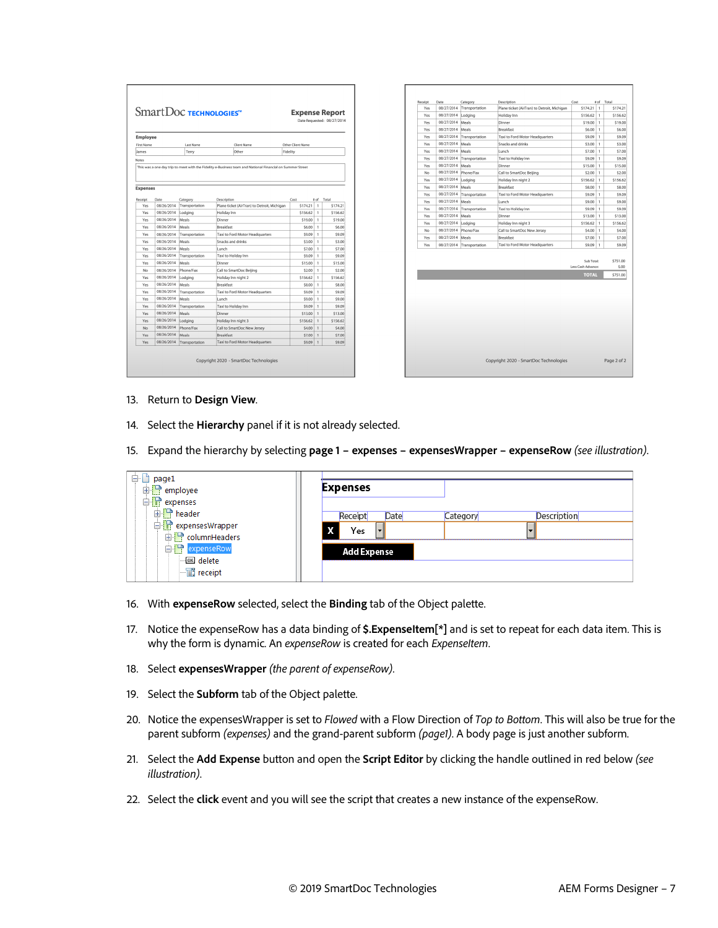|                   |            |                  | SmartDoс теснногосиея™                      | <b>Expense Report</b> |              | Date Requested: 08/27/2014 |
|-------------------|------------|------------------|---------------------------------------------|-----------------------|--------------|----------------------------|
| <b>Employee</b>   |            |                  |                                             |                       |              |                            |
| <b>First Name</b> |            | <b>Last Name</b> | Client Name                                 | Other Client Name     |              |                            |
| James             |            | Terry            | Other                                       | Fidelity              |              |                            |
| Notes             |            |                  |                                             |                       |              |                            |
| <b>Expenses</b>   |            |                  |                                             |                       |              |                            |
| Receipt           | Date       | Category         | Description                                 | Cost                  | # of         | Total                      |
| Yes               | 08/26/2014 | Transportation   | Plane ticket (AirTran) to Detroit, Michigan | \$174.21              | 1            | \$174.21                   |
| Yes               | 08/26/2014 | Lodging          | Holiday Inn                                 | \$156.62              | $\mathbf{1}$ | \$156.62                   |
| Yes               | 08/26/2014 | Meals            | Dinner                                      | \$19.00               | 1            | \$19.00                    |
| Yes               | 08/26/2014 | Meals            | Breakfast                                   | \$6.00                | 1            | \$6.00                     |
| Yes               | 08/26/2014 | Transportation   | Taxi to Ford Motor Headquarters             | 90.92                 | 1            | \$9.09                     |
| Yes               | 08/26/2014 | Meals            | Snacks and drinks                           | \$3.00                | 1            | \$3.00                     |
| <b>Yes</b>        | 08/26/2014 | Meals            | I unch                                      | \$7.00                | 1            | \$7.00                     |
| Yes               | 08/26/2014 | Transportation   | Taxi to Holiday Inn                         | \$9.09                | 1            | \$9.09                     |
| Yes               | 08/26/2014 | Meals            | Dinner                                      | \$15.00               | 1            | \$15.00                    |
| No                | 08/26/2014 | Phone/Fax        | Call to SmartDoc Beijing                    | \$2.00                | 1            | \$2.00                     |
| Yes               | 08/26/2014 | Lodging          | Holiday Inn night 2                         | \$156.62              | 1            | \$156.62                   |
| Yes               | 08/26/2014 | Meals            | <b>Breakfast</b>                            | \$8.00                | 1            | \$8.00                     |
| Yes               | 08/26/2014 | Transportation   | Taxi to Ford Motor Headquarters             | \$9.09                | 1            | \$9.09                     |
| Yes               | 08/26/2014 | Meals            | Lunch                                       | \$9.00                | 1            | \$9.00                     |
| Yes               | 08/26/2014 | Transportation   | Taxi to Holiday Inn                         | \$9.09                | ı            | \$9.09                     |
| Yes               | 08/26/2014 | Meals            | Dinner                                      | \$13.00               | 1            | \$13.00                    |
| Yes               | 08/26/2014 | Lodging          | Holiday Inn night 3                         | \$156.62              | 1            | \$156.62                   |
| No                | 08/26/2014 | Phone/Fax        | Call to SmartDoc New Jersey                 | \$4.00                | 1            | \$4.00                     |
| Yes               | 08/26/2014 | Meals            | <b>Breakfast</b>                            | \$7.00                | $\mathbf{1}$ | \$7.00                     |
|                   | 08/26/2014 | Transportation   | Taxi to Ford Motor Headquarters             | \$9.09                | 1            | \$9.09                     |

| Receipt | Date             | Category       | Description                                 | Cost                             | # of         | Total             |
|---------|------------------|----------------|---------------------------------------------|----------------------------------|--------------|-------------------|
| Yes     | 08/27/2014       | Transportation | Plane ticket (AirTran) to Detroit, Michigan | \$174.21                         | $\mathbf{1}$ | \$174.21          |
| Yes     | 08/27/2014       | Lodging        | Holiday Inn                                 | \$156.62                         | 1            | \$156.62          |
| Yes     | 08/27/2014       | Meals          | Dinner                                      | \$19.00                          | 1            | \$19.00           |
| Yes     | 08/27/2014       | Meals          | <b>Breakfast</b>                            | \$6.00                           | $\mathbf{1}$ | \$6.00            |
| Yes     | 08/27/2014       | Transportation | Taxi to Ford Motor Headquarters             | \$9.09                           | $\mathbf{1}$ | \$9.09            |
| Yes     | 08/27/2014       | Meals          | Snacks and drinks                           | \$3.00                           | 1            | \$3.00            |
| Yes     | 08/27/2014       | Meals          | Lunch                                       | \$7,00                           | $\mathbf{1}$ | \$7,00            |
| Yes     | 08/27/2014       | Transportation | Taxi to Holiday Inn                         | \$9.09                           | 1            | \$9.09            |
| Yes     | 08/27/2014 Meals |                | Dinner                                      | \$15.00                          | $\mathbf{1}$ | \$15.00           |
| No      | 08/27/2014       | Phone/Fax      | Call to SmartDoc Beijing                    | \$2.00                           | $\mathbf{1}$ | \$2.00            |
| Yes     | 08/27/2014       | Lodging        | Holiday Inn night 2                         | \$156.62                         | 1            | \$156.62          |
| Yes     | 08/27/2014       | Meals          | <b>Breakfast</b>                            | \$8.00                           | $\mathbf{1}$ | \$8,00            |
| Yes     | 08/27/2014       | Transportation | Taxi to Ford Motor Headquarters             | \$9.09                           | 1            | \$9.09            |
| Yes     | 08/27/2014       | Meals          | Lunch                                       | \$9.00                           | $\mathbf{1}$ | \$9.00            |
| Yes     | 08/27/2014       | Transportation | Taxi to Holiday Inn                         | \$9.09                           | 1            | \$9.09            |
| Yes     | 08/27/2014       | Meals          | Dinner                                      | \$13.00                          | 1            | \$13.00           |
| Yes     | 08/27/2014       | Lodaina        | Holiday Inn night 3                         | \$156.62                         | $\mathbf{1}$ | \$156.62          |
| No      | 08/27/2014       | Phone/Fax      | Call to SmartDoc New Jersey                 | \$4.00                           | 1            | \$4.00            |
| Yes     | 08/27/2014       | Meals          | <b>Breakfast</b>                            | \$7.00                           | $\mathbf{1}$ | \$7.00            |
| Yes     | 08/27/2014       | Transportation | Taxi to Ford Motor Headquarters             | \$9.09                           | $\mathbf{I}$ | \$9.09            |
|         |                  |                |                                             | Sub Total:<br>Less Cash Advance: |              | \$751.00<br>\$.00 |
|         |                  |                |                                             | <b>TOTAL</b>                     |              | \$751.00          |
|         |                  |                |                                             |                                  |              |                   |
|         |                  |                |                                             |                                  |              |                   |
|         |                  |                |                                             |                                  |              |                   |
|         |                  |                |                                             |                                  |              |                   |

- 13. Return to **Design View**.
- 14. Select the **Hierarchy** panel if it is not already selected.
- 15. Expand the hierarchy by selecting **page 1 expenses expensesWrapper expenseRow** *(see illustration)*.

| <b>D</b> page1<br><b>E</b> employee | <b>Expenses</b>    |          |                    |
|-------------------------------------|--------------------|----------|--------------------|
| expenses                            |                    |          |                    |
| <b>D</b> header                     | Receipt<br>Date    | Category | <b>Description</b> |
| 白 <b>骨</b> expensesWrapper          | X<br>Yes           |          |                    |
| <b>E</b> columnHeaders              |                    |          |                    |
| 白 <sup>·</sup> PexpenseRow          | <b>Add Expense</b> |          |                    |
| <b>MEN</b> delete                   |                    |          |                    |
| $\Box$ receipt                      |                    |          |                    |

- 16. With **expenseRow** selected, select the **Binding** tab of the Object palette.
- 17. Notice the expenseRow has a data binding of **\$.ExpenseItem[\*]** and is set to repeat for each data item. This is why the form is dynamic. An *expenseRow* is created for each *ExpenseItem*.
- 18. Select **expensesWrapper** *(the parent of expenseRow)*.
- 19. Select the **Subform** tab of the Object palette.
- 20. Notice the expensesWrapper is set to *Flowed* with a Flow Direction of *Top to Bottom*. This will also be true for the parent subform *(expenses)* and the grand-parent subform *(page1)*. A body page is just another subform.
- 21. Select the **Add Expense** button and open the **Script Editor** by clicking the handle outlined in red below *(see illustration)*.
- 22. Select the **click** event and you will see the script that creates a new instance of the expenseRow.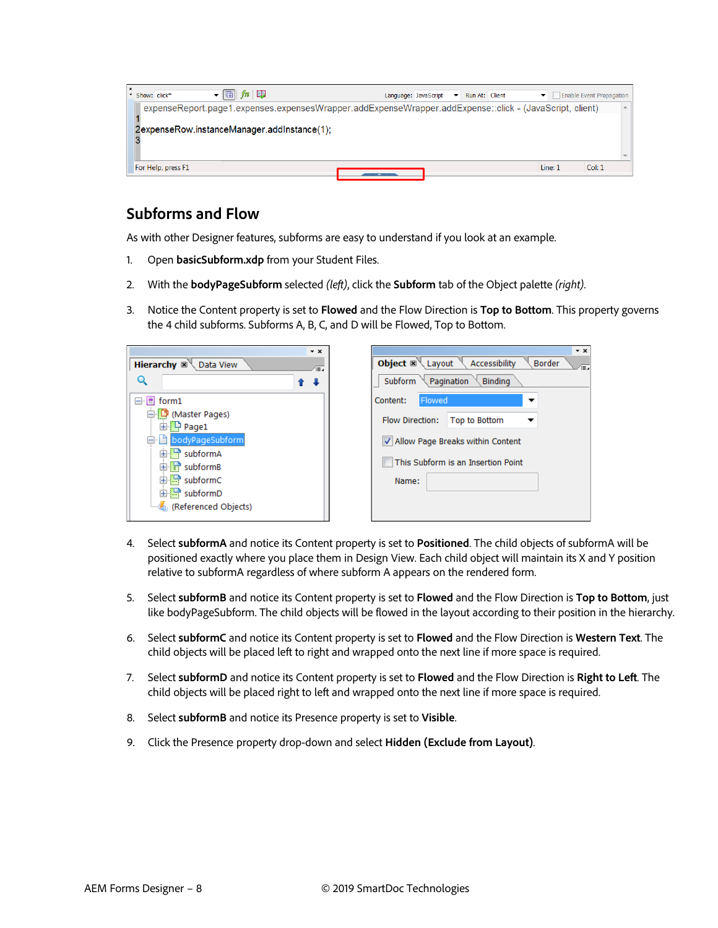| $\mathbf{F}$ and $\mathbf{F}$<br>* Show: click*<br>Language: JavaScript                                 | Enable Event Propagation<br>Run At: Client |  |
|---------------------------------------------------------------------------------------------------------|--------------------------------------------|--|
| expenseReport.page1.expenses.expensesWrapper.addExpenseWrapper.addExpense::click - (JavaScript, client) |                                            |  |
| 2expenseRow.instanceManager.addInstance(1);                                                             |                                            |  |
|                                                                                                         |                                            |  |
| For Help, press F1                                                                                      | Col: 1<br>Line: 1                          |  |

## <span id="page-7-0"></span>**Subforms and Flow**

As with other Designer features, subforms are easy to understand if you look at an example.

- 1. Open **basicSubform.xdp** from your Student Files.
- 2. With the **bodyPageSubform** selected *(left)*, click the **Subform** tab of the Object palette *(right)*.
- 3. Notice the Content property is set to **Flowed** and the Flow Direction is **Top to Bottom**. This property governs the 4 child subforms. Subforms A, B, C, and D will be Flowed, Top to Bottom.

| $\mathbf{v} \times$<br>Hierarchy $\mathbb{R}^{\mathbb{N}}$<br>Data View<br>Æ.<br>Q                                                                                           | $\mathbf{v}$ $\times$<br><b>Object</b> $\mathbb{R}$ Layout<br>Accessibility<br><b>Border</b><br>Æ.<br>Subform $\setminus$ Pagination<br>Binding   |
|------------------------------------------------------------------------------------------------------------------------------------------------------------------------------|---------------------------------------------------------------------------------------------------------------------------------------------------|
| $\Box$ If form 1<br>凹 (Master Pages)<br><b>D</b> Page1<br>bodyPageSubform<br>비 : subformA<br>由 subformB<br>$\Box$ subform C<br>$\mathbf{E}$ subform D<br>Referenced Objects) | Flowed<br>Content:<br>▼<br>Flow Direction:<br>Top to Bottom<br>IV Allow Page Breaks within Content<br>This Subform is an Insertion Point<br>Name: |

- 4. Select **subformA** and notice its Content property is set to **Positioned**. The child objects of subformA will be positioned exactly where you place them in Design View. Each child object will maintain its X and Y position relative to subformA regardless of where subform A appears on the rendered form.
- 5. Select **subformB** and notice its Content property is set to **Flowed** and the Flow Direction is **Top to Bottom**, just like bodyPageSubform. The child objects will be flowed in the layout according to their position in the hierarchy.
- 6. Select **subformC** and notice its Content property is set to **Flowed** and the Flow Direction is **Western Text**. The child objects will be placed left to right and wrapped onto the next line if more space is required.
- 7. Select **subformD** and notice its Content property is set to **Flowed** and the Flow Direction is **Right to Left**. The child objects will be placed right to left and wrapped onto the next line if more space is required.
- 8. Select **subformB** and notice its Presence property is set to **Visible**.
- 9. Click the Presence property drop-down and select **Hidden (Exclude from Layout)**.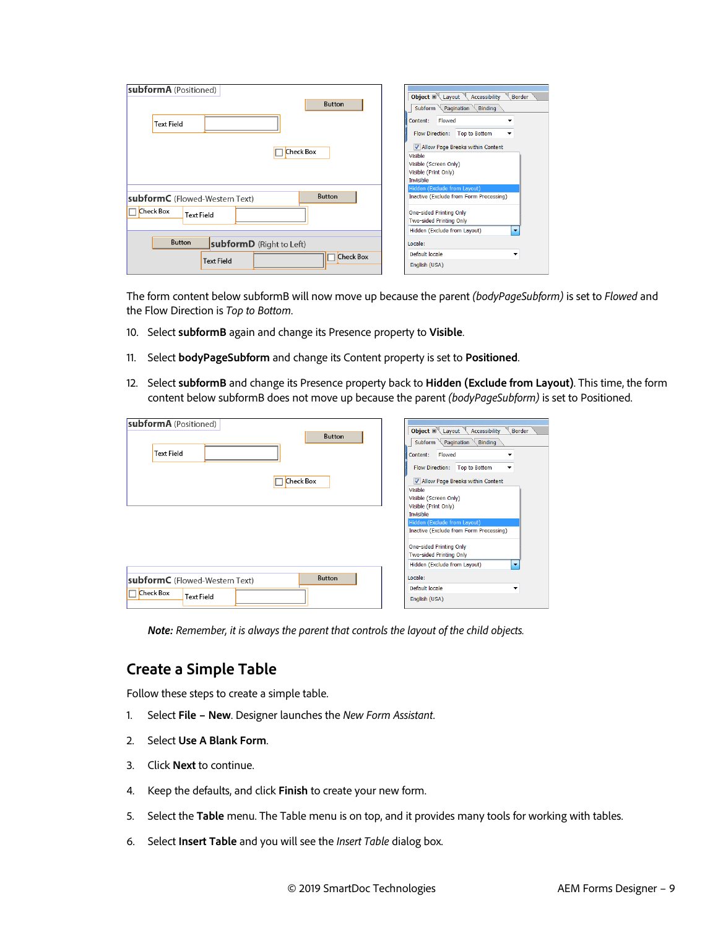| subformA (Positioned)<br>Button                                                          | Object $\mathbb{R} \setminus$ Layout $\mathbb{R}$<br><b>Border</b><br>Accessibility<br>Subform $\setminus$ Pagination $\setminus$ Binding                                                               |
|------------------------------------------------------------------------------------------|---------------------------------------------------------------------------------------------------------------------------------------------------------------------------------------------------------|
| <b>Text Field</b>                                                                        | Flowed<br>Content:<br><b>Flow Direction:</b><br><b>Top to Bottom</b><br>▼                                                                                                                               |
| <b>Check Box</b>                                                                         | V Allow Page Breaks within Content<br>Visible<br>Visible (Screen Only)<br>Visible (Print Only)<br><b>Invisible</b>                                                                                      |
| <b>Button</b><br>subformC (Flowed-Western Text)<br><b>Check Box</b><br><b>Text Field</b> | Hidden (Exclude from Layout)<br>Inactive (Exclude from Form Processing)<br><b>One-sided Printing Only</b><br><b>Two-sided Printing Only</b><br>Hidden (Exclude from Layout)<br>$\overline{\phantom{a}}$ |
| <b>Button</b><br>subformD (Right to Left)<br><b>Check Box</b><br><b>Text Field</b>       | Locale:<br>Default locale<br>▼<br>English (USA)                                                                                                                                                         |

The form content below subformB will now move up because the parent *(bodyPageSubform)* is set to *Flowed* and the Flow Direction is *Top to Bottom*.

- 10. Select **subformB** again and change its Presence property to **Visible**.
- 11. Select **bodyPageSubform** and change its Content property is set to **Positioned**.
- 12. Select **subformB** and change its Presence property back to **Hidden (Exclude from Layout)**. This time, the form content below subformB does not move up because the parent *(bodyPageSubform)* is set to Positioned.

| subformA (Positioned)<br><b>Button</b><br><b>Text Field</b><br><b>Check Box</b> | Object $\mathbb{R}$ Layout Accessibility<br><b>Border</b><br>Binding<br>Subform $\setminus$ Pagination $\setminus$<br>Flowed<br>Content:<br>$\blacksquare$<br>Flow Direction:<br>Top to Bottom<br>▼<br>V Allow Page Breaks within Content<br>Visible<br>Visible (Screen Only)<br>Visible (Print Only)<br><b>Invisible</b><br>Hidden (Exclude from Layout)<br>Inactive (Exclude from Form Processing)<br><b>One-sided Printing Only</b><br>Two-sided Printing Only<br>Hidden (Exclude from Layout)<br>$\overline{\phantom{a}}$ |
|---------------------------------------------------------------------------------|-------------------------------------------------------------------------------------------------------------------------------------------------------------------------------------------------------------------------------------------------------------------------------------------------------------------------------------------------------------------------------------------------------------------------------------------------------------------------------------------------------------------------------|
| <b>Button</b>                                                                   | Locale:                                                                                                                                                                                                                                                                                                                                                                                                                                                                                                                       |
| subformC (Flowed-Western Text)                                                  | Default locale                                                                                                                                                                                                                                                                                                                                                                                                                                                                                                                |
| <b>Check Box</b>                                                                | ▼                                                                                                                                                                                                                                                                                                                                                                                                                                                                                                                             |
| <b>Text Field</b>                                                               | English (USA)                                                                                                                                                                                                                                                                                                                                                                                                                                                                                                                 |

*Note: Remember, it is always the parent that controls the layout of the child objects.*

#### <span id="page-8-0"></span>**Create a Simple Table**

Follow these steps to create a simple table.

- 1. Select **File New**. Designer launches the *New Form Assistant*.
- 2. Select **Use A Blank Form**.
- 3. Click **Next** to continue.
- 4. Keep the defaults, and click **Finish** to create your new form.
- 5. Select the **Table** menu. The Table menu is on top, and it provides many tools for working with tables.
- 6. Select **Insert Table** and you will see the *Insert Table* dialog box.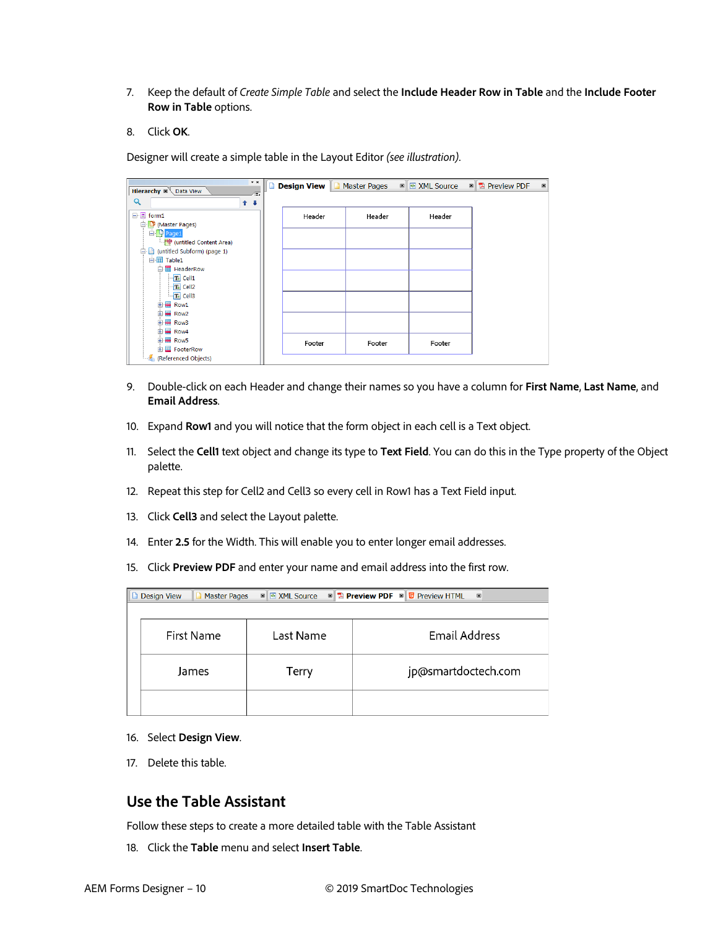- 7. Keep the default of *Create Simple Table* and select the **Include Header Row in Table** and the **Include Footer Row in Table** options.
- 8. Click **OK**.

Designer will create a simple table in the Layout Editor *(see illustration)*.

| $\star$ $\times$<br><b>Hierarchy X Data View</b><br>$\sqrt{10}$ | <b>Design View   D</b> Master Pages |        | <b>⊠ Ø XML Source</b> | $\mathbb{Z}$ <b>Z</b> Preview PDF | $\boxed{\textbf{X}}$ |
|-----------------------------------------------------------------|-------------------------------------|--------|-----------------------|-----------------------------------|----------------------|
| Q<br>$1 +$                                                      |                                     |        |                       |                                   |                      |
| $\Box$ $\Box$ form1                                             | Header                              | Header | Header                |                                   |                      |
| (Master Pages)                                                  |                                     |        |                       |                                   |                      |
| <b>D</b> Page1                                                  |                                     |        |                       |                                   |                      |
| (untitled Content Area)                                         |                                     |        |                       |                                   |                      |
| 白 (untitled Subform) (page 1)                                   |                                     |        |                       |                                   |                      |
| 白 <b>丽 Table1</b>                                               |                                     |        |                       |                                   |                      |
| 白 <b>甲 HeaderRow</b>                                            |                                     |        |                       |                                   |                      |
| T+ Cell1                                                        |                                     |        |                       |                                   |                      |
| T+ Cell2                                                        |                                     |        |                       |                                   |                      |
| $T+$ Cell3                                                      |                                     |        |                       |                                   |                      |
| Row1<br>中                                                       |                                     |        |                       |                                   |                      |
| Row2<br>中                                                       |                                     |        |                       |                                   |                      |
| Row3<br>中                                                       |                                     |        |                       |                                   |                      |
| 由 - Row4                                                        |                                     |        |                       |                                   |                      |
| 由 Row5                                                          | Footer                              | Footer | Footer                |                                   |                      |
| <b>E</b> FooterRow                                              |                                     |        |                       |                                   |                      |
| (Referenced Objects)                                            |                                     |        |                       |                                   |                      |

- 9. Double-click on each Header and change their names so you have a column for **First Name**, **Last Name**, and **Email Address**.
- 10. Expand **Row1** and you will notice that the form object in each cell is a Text object.
- 11. Select the **Cell1** text object and change its type to **Text Field**. You can do this in the Type property of the Object palette.
- 12. Repeat this step for Cell2 and Cell3 so every cell in Row1 has a Text Field input.
- 13. Click **Cell3** and select the Layout palette.
- 14. Enter **2.5** for the Width. This will enable you to enter longer email addresses.
- 15. Click **Preview PDF** and enter your name and email address into the first row.

| <b>E</b> Preview PDF <b>E B</b> Preview HTML<br>⊠ <mark>® XML Source</mark><br><b>Design View</b><br><b>Master Pages</b><br>$\boxtimes$<br>$\boxed{\textbf{X}}$<br>ш |           |                     |  |  |  |  |
|----------------------------------------------------------------------------------------------------------------------------------------------------------------------|-----------|---------------------|--|--|--|--|
|                                                                                                                                                                      |           |                     |  |  |  |  |
| First Name                                                                                                                                                           | Last Name | Email Address       |  |  |  |  |
| James                                                                                                                                                                | Terry     | jp@smartdoctech.com |  |  |  |  |
|                                                                                                                                                                      |           |                     |  |  |  |  |

- 16. Select **Design View**.
- 17. Delete this table.

#### <span id="page-9-0"></span>**Use the Table Assistant**

Follow these steps to create a more detailed table with the Table Assistant

18. Click the **Table** menu and select **Insert Table**.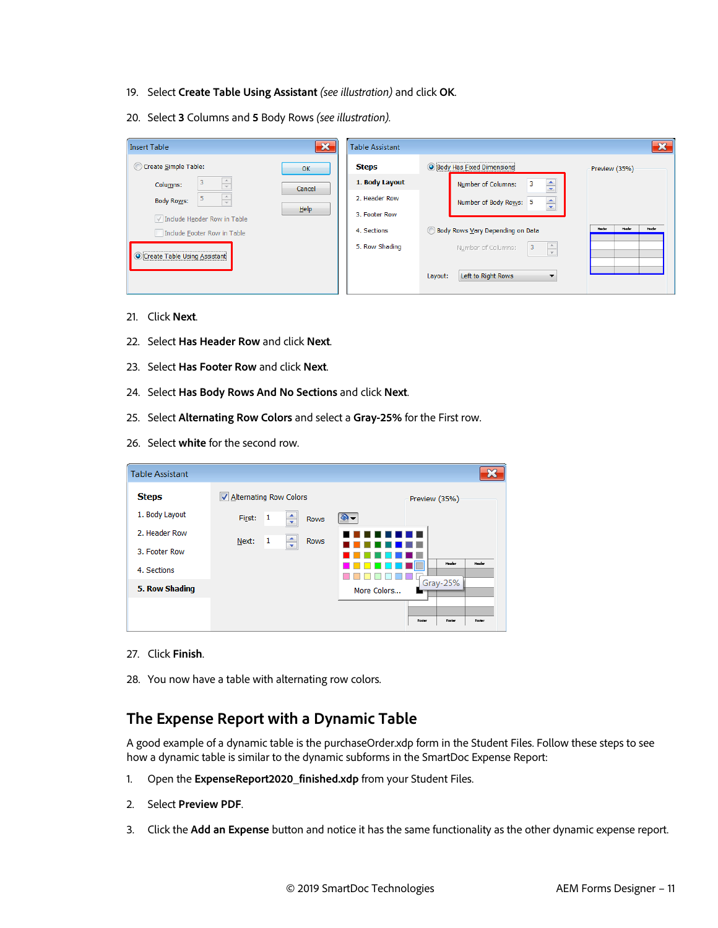- 19. Select **Create Table Using Assistant** *(see illustration)* and click **OK**.
- 20. Select **3** Columns and **5** Body Rows *(see illustration).*

| <b>Insert Table</b>                             | $\mathbf x$ | <b>Table Assistant</b> |                                                     | -22                        |
|-------------------------------------------------|-------------|------------------------|-----------------------------------------------------|----------------------------|
| Create Simple Table:                            | OK          | <b>Steps</b>           | <b>O Body Has Eixed Dimensions</b>                  | Preview (35%)              |
| Columns:                                        | Cancel      | 1. Body Layout         | $\div$<br>3<br>Number of Columns:                   |                            |
| $\frac{\Delta}{\Psi}$<br>5<br><b>Body Rows:</b> |             | 2. Header Row          | $\div$<br>Number of Body Rows: 5                    |                            |
| Include Header Row in Table                     | Help        | 3. Footer Row          |                                                     |                            |
| Include Footer Row in Table                     |             | 4. Sections            | Body Rows Vary Depending on Data                    | Header<br>Header<br>Header |
| Create Table Using Assistant                    |             | 5. Row Shading         | $\frac{\triangle}{\tau}$<br>3<br>Number of Columns: |                            |
|                                                 |             |                        | Left to Right Rows<br>Layout:<br>▼                  |                            |

- 21. Click **Next**.
- 22. Select **Has Header Row** and click **Next**.
- 23. Select **Has Footer Row** and click **Next**.
- 24. Select **Has Body Rows And No Sections** and click **Next**.
- 25. Select **Alternating Row Colors** and select a **Gray-25%** for the First row.
- 26. Select **white** for the second row.

| <b>Table Assistant</b> |                                       |                            |
|------------------------|---------------------------------------|----------------------------|
| <b>Steps</b>           | Alternating Row Colors                | Preview (35%)              |
| 1. Body Layout         | $\mathbf{1}$<br>First:<br><b>Rows</b> |                            |
| 2. Header Row          | 1<br>∸<br>Next:<br><b>Rows</b>        |                            |
| 3. Footer Row          | $\overline{\phantom{a}}$              |                            |
| 4. Sections            |                                       | Header<br>Header           |
| 5. Row Shading         |                                       | Gray-25%<br>More Colors    |
|                        |                                       |                            |
|                        |                                       | Footer<br>Footen<br>Footer |

- 27. Click **Finish**.
- 28. You now have a table with alternating row colors.

#### <span id="page-10-0"></span>**The Expense Report with a Dynamic Table**

A good example of a dynamic table is the purchaseOrder.xdp form in the Student Files. Follow these steps to see how a dynamic table is similar to the dynamic subforms in the SmartDoc Expense Report:

- 1. Open the **ExpenseReport2020\_finished.xdp** from your Student Files.
- 2. Select **Preview PDF**.
- 3. Click the **Add an Expense** button and notice it has the same functionality as the other dynamic expense report.